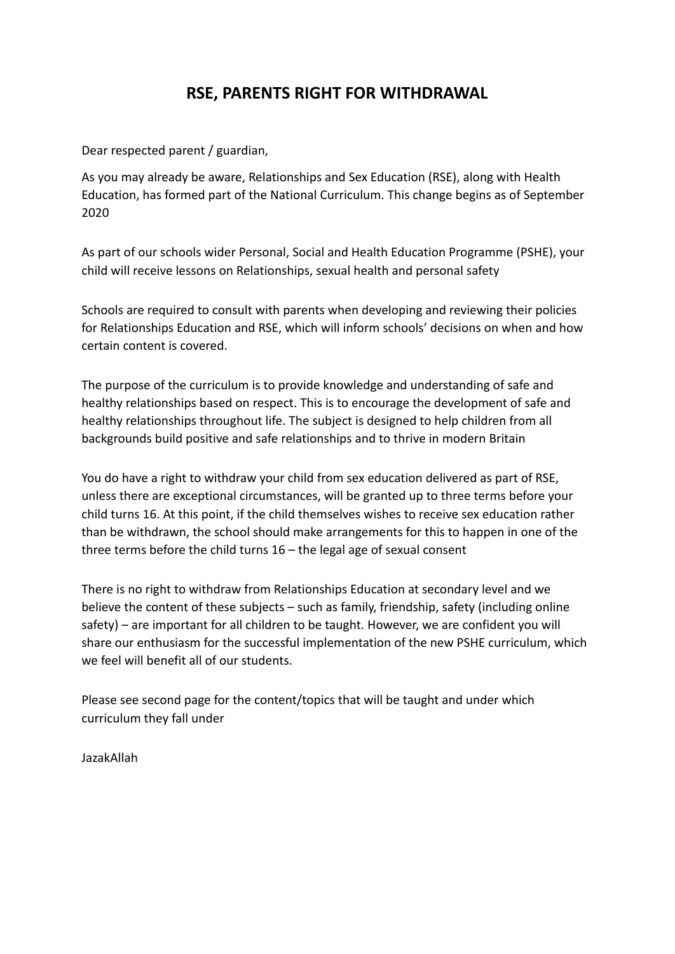## **RSE, PARENTS RIGHT FOR WITHDRAWAL**

Dear respected parent / guardian,

As you may already be aware, Relationships and Sex Education (RSE), along with Health Education, has formed part of the National Curriculum. This change begins as of September 2020

As part of our schools wider Personal, Social and Health Education Programme (PSHE), your child will receive lessons on Relationships, sexual health and personal safety

Schools are required to consult with parents when developing and reviewing their policies for Relationships Education and RSE, which will inform schools' decisions on when and how certain content is covered.

The purpose of the curriculum is to provide knowledge and understanding of safe and healthy relationships based on respect. This is to encourage the development of safe and healthy relationships throughout life. The subject is designed to help children from all backgrounds build positive and safe relationships and to thrive in modern Britain

You do have a right to withdraw your child from sex education delivered as part of RSE, unless there are exceptional circumstances, will be granted up to three terms before your child turns 16. At this point, if the child themselves wishes to receive sex education rather than be withdrawn, the school should make arrangements for this to happen in one of the three terms before the child turns 16 – the legal age of sexual consent

There is no right to withdraw from Relationships Education at secondary level and we believe the content of these subjects – such as family, friendship, safety (including online safety) – are important for all children to be taught. However, we are confident you will share our enthusiasm for the successful implementation of the new PSHE curriculum, which we feel will benefit all of our students.

Please see second page for the content/topics that will be taught and under which curriculum they fall under

JazakAllah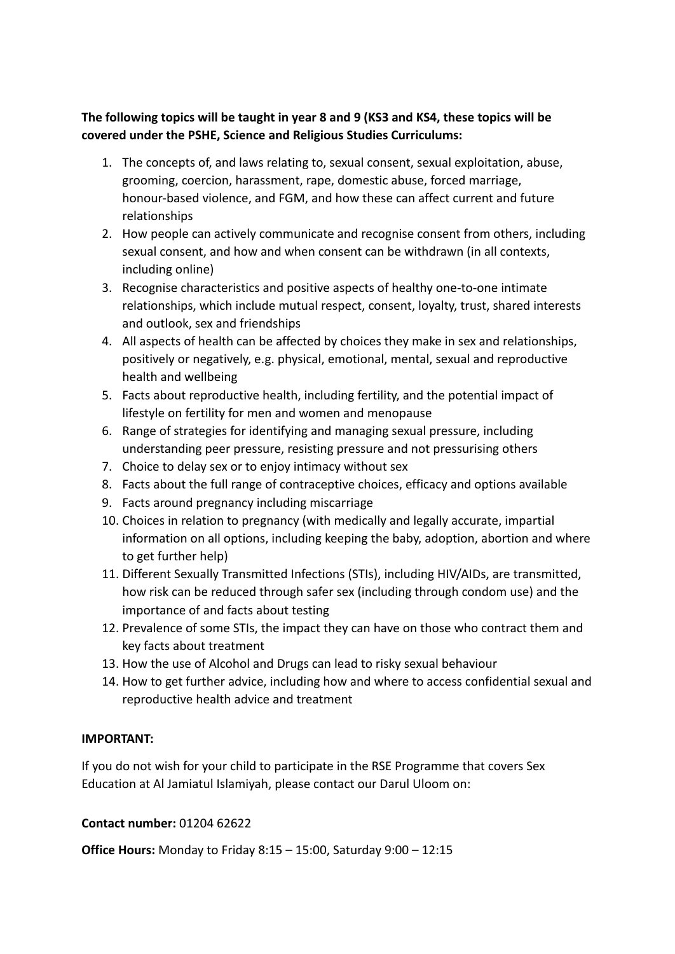## **The following topics will be taught in year 8 and 9 (KS3 and KS4, these topics will be covered under the PSHE, Science and Religious Studies Curriculums:**

- 1. The concepts of, and laws relating to, sexual consent, sexual exploitation, abuse, grooming, coercion, harassment, rape, domestic abuse, forced marriage, honour-based violence, and FGM, and how these can affect current and future relationships
- 2. How people can actively communicate and recognise consent from others, including sexual consent, and how and when consent can be withdrawn (in all contexts, including online)
- 3. Recognise characteristics and positive aspects of healthy one-to-one intimate relationships, which include mutual respect, consent, loyalty, trust, shared interests and outlook, sex and friendships
- 4. All aspects of health can be affected by choices they make in sex and relationships, positively or negatively, e.g. physical, emotional, mental, sexual and reproductive health and wellbeing
- 5. Facts about reproductive health, including fertility, and the potential impact of lifestyle on fertility for men and women and menopause
- 6. Range of strategies for identifying and managing sexual pressure, including understanding peer pressure, resisting pressure and not pressurising others
- 7. Choice to delay sex or to enjoy intimacy without sex
- 8. Facts about the full range of contraceptive choices, efficacy and options available
- 9. Facts around pregnancy including miscarriage
- 10. Choices in relation to pregnancy (with medically and legally accurate, impartial information on all options, including keeping the baby, adoption, abortion and where to get further help)
- 11. Different Sexually Transmitted Infections (STIs), including HIV/AIDs, are transmitted, how risk can be reduced through safer sex (including through condom use) and the importance of and facts about testing
- 12. Prevalence of some STIs, the impact they can have on those who contract them and key facts about treatment
- 13. How the use of Alcohol and Drugs can lead to risky sexual behaviour
- 14. How to get further advice, including how and where to access confidential sexual and reproductive health advice and treatment

## **IMPORTANT:**

If you do not wish for your child to participate in the RSE Programme that covers Sex Education at Al Jamiatul Islamiyah, please contact our Darul Uloom on:

## **Contact number:** 01204 62622

**Office Hours:** Monday to Friday 8:15 – 15:00, Saturday 9:00 – 12:15